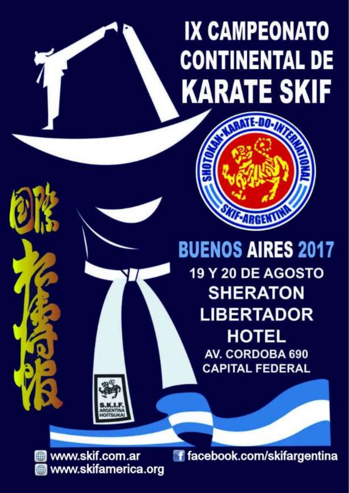## **IX CAMPEONATO CONTINENTAL DE KARATE SKIF**



**BUENOS AIRES 2017** 19 Y 20 DE AGOSTO **SHERATON LIBERTADOR HOTEL** AV. CORDOBA 690 **CAPITAL FEDERAL** 

 $W$  we have  $W$  with  $W$  we have  $W$  we have  $W$  we have  $W$  with  $W$  we have  $W$  and  $W$  we have  $W$  and  $W$  and  $W$  and  $W$  and  $W$  and  $W$  and  $W$  and  $W$  and  $W$  and  $W$  and  $W$  and  $W$  and  $W$  and  $W$  and  $W$  and  $W$ a www.skifamerio

www.skif.com.ar f facebook.com/skifargentina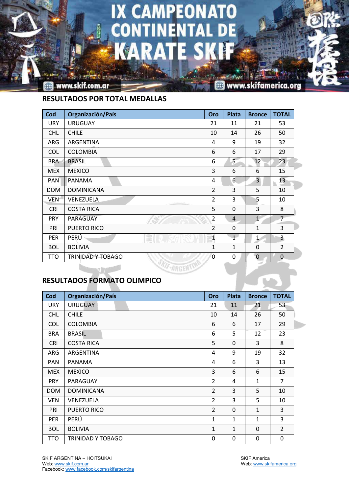## IX CAMPEONATO EN E Zл

www.skif.com.ar

www.skifamerica.org

**RESULTADOS POR TOTAL MEDALLAS**

| Cod        | Organización/País        | Oro            | <b>Plata</b>   | <b>Bronce</b>  | <b>TOTAL</b>   |
|------------|--------------------------|----------------|----------------|----------------|----------------|
| <b>URY</b> | <b>URUGUAY</b>           | 21             | 11             | 21             | 53             |
| <b>CHL</b> | <b>CHILE</b>             | 10             | 14             | 26             | 50             |
| ARG        | ARGENTINA                | 4              | 9              | 19             | 32             |
| <b>COL</b> | <b>COLOMBIA</b>          | 6              | 6              | 17             | 29             |
| <b>BRA</b> | <b>BRASIL</b>            | 6              | 5              | 12             | 23             |
| <b>MEX</b> | <b>MEXICO</b>            | 3              | 6              | 6              | 15             |
| <b>PAN</b> | PANAMA                   | 4              | 6              | $\overline{3}$ | 13             |
| <b>DOM</b> | <b>DOMINICANA</b>        | $\overline{2}$ | 3              | 5              | 10             |
| VEN        | VENEZUELA                | $\overline{2}$ | 3              | 5              | 10             |
| <b>CRI</b> | <b>COSTA RICA</b>        | 5              | $\Omega$       | 3              | 8              |
| <b>PRY</b> | PARAGUAY                 | $\overline{2}$ | $\overline{4}$ | $\mathbf{1}$   | $\overline{7}$ |
| PRI        | PUERTO RICO              | $\overline{2}$ | $\Omega$       | $\mathbf{1}$   | 3              |
| <b>PER</b> | $\equiv$<br>PERÚ<br>55   | $\mathbf{1}$   | 1              | $\mathbf{1}$   | 3              |
| <b>BOL</b> | <b>BOLIVIA</b>           | 1              | $\mathbf{1}$   | $\mathbf 0$    | $\overline{2}$ |
| <b>TTO</b> | <b>TRINIDAD Y TOBAGO</b> | 0              | 0              | $\pmb{0}$      | $\overline{0}$ |
|            | <b>AF-ARG</b>            |                |                |                |                |

**RESULTADOS FORMATO OLIMPICO**

| Cod        | Organización/País | Oro            | Plata        | <b>Bronce</b> | <b>TOTAL</b>   |
|------------|-------------------|----------------|--------------|---------------|----------------|
| <b>URY</b> | <b>URUGUAY</b>    | 21             | 11           | 21            | 53             |
| <b>CHL</b> | <b>CHILE</b>      | 10             | 14           | 26            | 50             |
| <b>COL</b> | <b>COLOMBIA</b>   | 6              | 6            | 17            | 29             |
| <b>BRA</b> | <b>BRASIL</b>     | 6              | 5            | 12            | 23             |
| <b>CRI</b> | <b>COSTA RICA</b> | 5              | $\Omega$     | 3             | 8              |
| ARG        | ARGENTINA         | 4              | 9            | 19            | 32             |
| <b>PAN</b> | PANAMA            | 4              | 6            | 3             | 13             |
| <b>MEX</b> | <b>MEXICO</b>     | 3              | 6            | 6             | 15             |
| <b>PRY</b> | PARAGUAY          | $\overline{2}$ | 4            | 1             | 7              |
| <b>DOM</b> | <b>DOMINICANA</b> | $\overline{2}$ | 3            | 5             | 10             |
| <b>VEN</b> | VENEZUELA         | $\overline{2}$ | 3            | 5             | 10             |
| PRI        | PUERTO RICO       | $\overline{2}$ | $\Omega$     | $\mathbf{1}$  | 3              |
| PER        | PERÚ              | $\mathbf{1}$   | $\mathbf{1}$ | 1             | 3              |
| <b>BOL</b> | <b>BOLIVIA</b>    | $\mathbf{1}$   | $\mathbf{1}$ | $\mathbf 0$   | $\overline{2}$ |
| TTO        | TRINIDAD Y TOBAGO | 0              | 0            | 0             | 0              |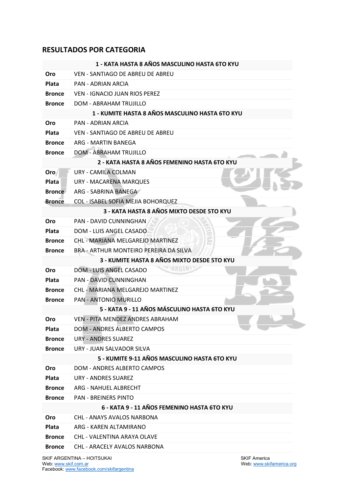## **RESULTADOS POR CATEGORIA**

| VEN - SANTIAGO DE ABREU DE ABREU<br>Oro<br>Plata<br><b>PAN - ADRIAN ARCIA</b><br><b>Bronce</b><br><b>VEN - IGNACIO JUAN RIOS PEREZ</b><br><b>DOM - ABRAHAM TRUJILLO</b><br><b>Bronce</b><br>1 - KUMITE HASTA 8 AÑOS MASCULINO HASTA 6TO KYU<br><b>PAN - ADRIAN ARCIA</b><br>Oro<br><b>Plata</b><br><b>VEN - SANTIAGO DE ABREU DE ABREU</b><br>ARG - MARTIN BANEGA<br><b>Bronce</b><br><b>DOM - ABRAHAM TRUJILLO</b><br><b>Bronce</b><br>2 - KATA HASTA 8 AÑOS FEMENINO HASTA 6TO KYU<br><b>URY - CAMILA COLMAN</b><br>Oro<br>Plata<br><b>URY - MACARENA MARQUES</b><br><b>Bronce</b><br>ARG - SABRINA BANEGA<br><b>Bronce</b><br>COL - ISABEL SOFIA MEJIA BOHORQUEZ<br>3 - KATA HASTA 8 AÑOS MIXTO DESDE 5TO KYU<br><b>PAN - DAVID CUNNINGHAN</b><br>Oro<br><b>Plata</b><br>DOM - LUIS ANGEL CASADO<br>CHL - MARIANA MELGAREJO MARTINEZ<br><b>Bronce</b> |  |  |
|----------------------------------------------------------------------------------------------------------------------------------------------------------------------------------------------------------------------------------------------------------------------------------------------------------------------------------------------------------------------------------------------------------------------------------------------------------------------------------------------------------------------------------------------------------------------------------------------------------------------------------------------------------------------------------------------------------------------------------------------------------------------------------------------------------------------------------------------------------|--|--|
|                                                                                                                                                                                                                                                                                                                                                                                                                                                                                                                                                                                                                                                                                                                                                                                                                                                          |  |  |
|                                                                                                                                                                                                                                                                                                                                                                                                                                                                                                                                                                                                                                                                                                                                                                                                                                                          |  |  |
|                                                                                                                                                                                                                                                                                                                                                                                                                                                                                                                                                                                                                                                                                                                                                                                                                                                          |  |  |
|                                                                                                                                                                                                                                                                                                                                                                                                                                                                                                                                                                                                                                                                                                                                                                                                                                                          |  |  |
|                                                                                                                                                                                                                                                                                                                                                                                                                                                                                                                                                                                                                                                                                                                                                                                                                                                          |  |  |
|                                                                                                                                                                                                                                                                                                                                                                                                                                                                                                                                                                                                                                                                                                                                                                                                                                                          |  |  |
|                                                                                                                                                                                                                                                                                                                                                                                                                                                                                                                                                                                                                                                                                                                                                                                                                                                          |  |  |
|                                                                                                                                                                                                                                                                                                                                                                                                                                                                                                                                                                                                                                                                                                                                                                                                                                                          |  |  |
|                                                                                                                                                                                                                                                                                                                                                                                                                                                                                                                                                                                                                                                                                                                                                                                                                                                          |  |  |
|                                                                                                                                                                                                                                                                                                                                                                                                                                                                                                                                                                                                                                                                                                                                                                                                                                                          |  |  |
|                                                                                                                                                                                                                                                                                                                                                                                                                                                                                                                                                                                                                                                                                                                                                                                                                                                          |  |  |
|                                                                                                                                                                                                                                                                                                                                                                                                                                                                                                                                                                                                                                                                                                                                                                                                                                                          |  |  |
|                                                                                                                                                                                                                                                                                                                                                                                                                                                                                                                                                                                                                                                                                                                                                                                                                                                          |  |  |
|                                                                                                                                                                                                                                                                                                                                                                                                                                                                                                                                                                                                                                                                                                                                                                                                                                                          |  |  |
|                                                                                                                                                                                                                                                                                                                                                                                                                                                                                                                                                                                                                                                                                                                                                                                                                                                          |  |  |
|                                                                                                                                                                                                                                                                                                                                                                                                                                                                                                                                                                                                                                                                                                                                                                                                                                                          |  |  |
|                                                                                                                                                                                                                                                                                                                                                                                                                                                                                                                                                                                                                                                                                                                                                                                                                                                          |  |  |
|                                                                                                                                                                                                                                                                                                                                                                                                                                                                                                                                                                                                                                                                                                                                                                                                                                                          |  |  |
| BRA - ARTHUR MONTEIRO PEREIRA DA SILVA<br><b>Bronce</b>                                                                                                                                                                                                                                                                                                                                                                                                                                                                                                                                                                                                                                                                                                                                                                                                  |  |  |
| 3 - KUMITE HASTA 8 AÑOS MIXTO DESDE 5TO KYU                                                                                                                                                                                                                                                                                                                                                                                                                                                                                                                                                                                                                                                                                                                                                                                                              |  |  |
| <b>DOM - LUIS ANGEL CASADO</b><br>Oro                                                                                                                                                                                                                                                                                                                                                                                                                                                                                                                                                                                                                                                                                                                                                                                                                    |  |  |
| <b>Plata</b><br><b>PAN - DAVID CUNNINGHAN</b>                                                                                                                                                                                                                                                                                                                                                                                                                                                                                                                                                                                                                                                                                                                                                                                                            |  |  |
| CHL - MARIANA MELGAREJO MARTINEZ<br><b>Bronce</b>                                                                                                                                                                                                                                                                                                                                                                                                                                                                                                                                                                                                                                                                                                                                                                                                        |  |  |
| <b>PAN - ANTONIO MURILLO</b><br><b>Bronce</b>                                                                                                                                                                                                                                                                                                                                                                                                                                                                                                                                                                                                                                                                                                                                                                                                            |  |  |
| 5 - KATA 9 - 11 AÑOS MÁSCULINO HASTA 6TO KYU                                                                                                                                                                                                                                                                                                                                                                                                                                                                                                                                                                                                                                                                                                                                                                                                             |  |  |
| VEN - PITA MENDEZ ANDRES ABRAHAM<br>Oro                                                                                                                                                                                                                                                                                                                                                                                                                                                                                                                                                                                                                                                                                                                                                                                                                  |  |  |
| <b>DOM - ANDRES ALBERTO CAMPOS</b><br><b>Plata</b>                                                                                                                                                                                                                                                                                                                                                                                                                                                                                                                                                                                                                                                                                                                                                                                                       |  |  |
| <b>Bronce</b><br>URY - ANDRES SUAREZ                                                                                                                                                                                                                                                                                                                                                                                                                                                                                                                                                                                                                                                                                                                                                                                                                     |  |  |
| URY - JUAN SALVADOR SILVA<br><b>Bronce</b>                                                                                                                                                                                                                                                                                                                                                                                                                                                                                                                                                                                                                                                                                                                                                                                                               |  |  |
| 5 - KUMITE 9-11 AÑOS MASCULINO HASTA 6TO KYU                                                                                                                                                                                                                                                                                                                                                                                                                                                                                                                                                                                                                                                                                                                                                                                                             |  |  |
| <b>DOM - ANDRES ALBERTO CAMPOS</b><br><b>Oro</b>                                                                                                                                                                                                                                                                                                                                                                                                                                                                                                                                                                                                                                                                                                                                                                                                         |  |  |
| Plata<br><b>URY - ANDRES SUAREZ</b>                                                                                                                                                                                                                                                                                                                                                                                                                                                                                                                                                                                                                                                                                                                                                                                                                      |  |  |
| ARG - NAHUEL ALBRECHT<br><b>Bronce</b>                                                                                                                                                                                                                                                                                                                                                                                                                                                                                                                                                                                                                                                                                                                                                                                                                   |  |  |
| <b>PAN - BREINERS PINTO</b><br><b>Bronce</b>                                                                                                                                                                                                                                                                                                                                                                                                                                                                                                                                                                                                                                                                                                                                                                                                             |  |  |
| 6 - KATA 9 - 11 AÑOS FEMENINO HASTA 6TO KYU                                                                                                                                                                                                                                                                                                                                                                                                                                                                                                                                                                                                                                                                                                                                                                                                              |  |  |
| <b>CHL - ANAYS AVALOS NARBONA</b><br><b>Oro</b>                                                                                                                                                                                                                                                                                                                                                                                                                                                                                                                                                                                                                                                                                                                                                                                                          |  |  |
| Plata<br>ARG - KAREN ALTAMIRANO                                                                                                                                                                                                                                                                                                                                                                                                                                                                                                                                                                                                                                                                                                                                                                                                                          |  |  |
| <b>CHL - VALENTINA ARAYA OLAVE</b><br><b>Bronce</b>                                                                                                                                                                                                                                                                                                                                                                                                                                                                                                                                                                                                                                                                                                                                                                                                      |  |  |
| <b>Bronce</b><br>CHL - ARACELY AVALOS NARBONA                                                                                                                                                                                                                                                                                                                                                                                                                                                                                                                                                                                                                                                                                                                                                                                                            |  |  |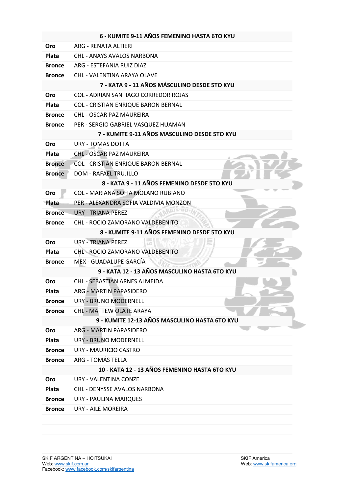|               | 6 - KUMITE 9-11 AÑOS FEMENINO HASTA 6TO KYU   |
|---------------|-----------------------------------------------|
| Oro           | ARG - RENATA ALTIERI                          |
| Plata         | CHL - ANAYS AVALOS NARBONA                    |
| <b>Bronce</b> | ARG - ESTEFANIA RUIZ DIAZ                     |
| <b>Bronce</b> | CHL - VALENTINA ARAYA OLAVE                   |
|               | 7 - KATA 9 - 11 AÑOS MÁSCULINO DESDE 5TO KYU  |
| Oro           | <b>COL - ADRIAN SANTIAGO CORREDOR ROJAS</b>   |
| Plata         | COL - CRISTIAN ENRIQUE BARON BERNAL           |
| <b>Bronce</b> | <b>CHL - OSCAR PAZ MAUREIRA</b>               |
| <b>Bronce</b> | PER - SERGIO GABRIEL VASQUEZ HUAMAN           |
|               | 7 - KUMITE 9-11 AÑOS MASCULINO DESDE 5TO KYU  |
| Oro           | <b>URY - TOMAS DOTTA</b>                      |
| Plata         | <b>CHL - OSCAR PAZ MAUREIRA</b>               |
| <b>Bronce</b> | <b>COL - CRISTIAN ENRIQUE BARON BERNAL</b>    |
| <b>Bronce</b> | <b>DOM - RAFAEL TRUJILLO</b>                  |
|               | 8 - KATA 9 - 11 AÑOS FEMENINO DESDE 5TO KYU   |
| Oro           | <b>COL - MARIANA SOFIA MOLANO RUBIANO</b>     |
| Plata         | PER - ALEXANDRA SOFIA VALDIVIA MONZON         |
| <b>Bronce</b> | URY - TRIANA PEREZ                            |
| <b>Bronce</b> | <b>CHL - ROCIO ZAMORANO VALDEBENITO</b>       |
|               | 8 - KUMITE 9-11 AÑOS FEMENINO DESDE 5TO KYU   |
| Oro           | <b>URY - TRIANA PEREZ</b>                     |
| Plata         | CHL-ROCIO ZAMORANO VALDEBENITO                |
| <b>Bronce</b> | MEX - GUADALUPE GARCÍA                        |
|               | 9 - KATA 12 - 13 AÑOS MASCULINO HASTA 6TO KYU |
| Oro           | CHL - SEBASTIAN ARNES ALMEIDA                 |
| Plata         | <b>ARG - MARTIN PAPASIDERO</b>                |
| <b>Bronce</b> | <b>URY - BRUNO MODERNELL</b>                  |
| <b>Bronce</b> | <b>CHL - MATTEW OLATE ARAYA</b>               |
|               | 9 - KUMITE 12-13 AÑOS MASCULINO HASTA 6TO KYU |
| Oro           | ARG - MARTIN PAPASIDERO                       |
| Plata         | URY - BRUNO MODERNELL                         |
| <b>Bronce</b> | URY - MAURICIO CASTRO                         |
| <b>Bronce</b> | ARG - TOMÁS TELLA                             |
|               | 10 - KATA 12 - 13 AÑOS FEMENINO HASTA 6TO KYU |
| Oro           | URY - VALENTINA CONZE                         |
| <b>Plata</b>  | <b>CHL - DENYSSE AVALOS NARBONA</b>           |
| <b>Bronce</b> | URY - PAULINA MARQUES                         |
| <b>Bronce</b> | URY - AILE MOREIRA                            |
|               |                                               |
|               |                                               |
|               |                                               |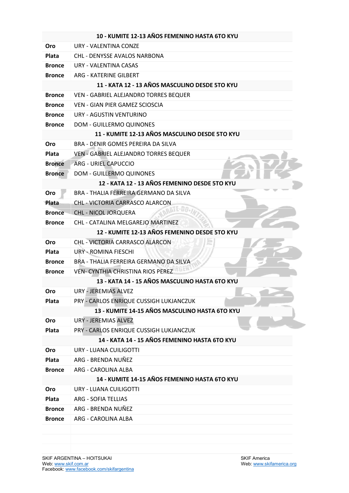|               | 10 - KUMITE 12-13 AÑOS FEMENINO HASTA 6TO KYU  |
|---------------|------------------------------------------------|
| Oro           | URY - VALENTINA CONZE                          |
| <b>Plata</b>  | <b>CHL - DENYSSE AVALOS NARBONA</b>            |
| <b>Bronce</b> | URY - VALENTINA CASAS                          |
| <b>Bronce</b> | <b>ARG - KATERINE GILBERT</b>                  |
|               | 11 - KATA 12 - 13 AÑOS MASCULINO DESDE 5TO KYU |
| <b>Bronce</b> | VEN - GABRIEL ALEJANDRO TORRES BEQUER          |
| <b>Bronce</b> | VEN - GIAN PIER GAMEZ SCIOSCIA                 |
| <b>Bronce</b> | URY - AGUSTIN VENTURINO                        |
| <b>Bronce</b> | <b>DOM - GUILLERMO QUINONES</b>                |
|               | 11 - KUMITE 12-13 AÑOS MASCULINO DESDE 5TO KYU |
| <b>Oro</b>    | BRA - DENIR GOMES PEREIRA DA SILVA             |
| <b>Plata</b>  | VEN - GABRIEL ALEJANDRO TORRES BEQUER          |
| <b>Bronce</b> | <b>ARG - URIEL CAPUCCIO</b>                    |
| <b>Bronce</b> | <b>DOM - GUILLERMO QUINONES</b>                |
|               | 12 - KATA 12 - 13 AÑOS FEMENINO DESDE 5TO KYU  |
| Oro           | BRA - THALIA FERREIRA GERMANO DA SILVA         |
| Plata         | <b>CHL - VICTORIA CARRASCO ALARCON</b>         |
| <b>Bronce</b> | <b>CHL - NICOL JORQUERA</b>                    |
| <b>Bronce</b> | CHL - CATALINA MELGAREJO MARTINEZ              |
|               | 12 - KUMITE 12-13 AÑOS FEMENINO DESDE 5TO KYU  |
| Oro           | CHL - VICTORIA CARRASCO ALARCON                |
| Plata         | URY - ROMINA FIESCHI                           |
| <b>Bronce</b> | BRA - THALIA FERREIRA GERMANO DA SILVA         |
| <b>Bronce</b> | <b>VEN- CYNTHIA CHRISTINA RIOS PEREZ</b>       |
|               | 13 - KATA 14 - 15 AÑOS MASCULINO HASTA 6TO KYU |
| Oro           | <b>URY - JEREMIAS ALVEZ</b>                    |
| Plata         | PRY - CARLOS ENRIQUE CUSSIGH LUKJANCZUK        |
|               | 13 - KUMITE 14-15 AÑOS MASCULINO HASTA 6TO KYU |
| Oro           | URY - JEREMIAS ALVEZ                           |
| Plata         | PRY - CARLOS ENRIQUE CUSSIGH LUKJANCZUK        |
|               | 14 - KATA 14 - 15 AÑOS FEMENINO HASTA 6TO KYU  |
| Oro           | URY - LUANA CUILIGOTTI                         |
| Plata         | ARG - BRENDA NUÑEZ                             |
| <b>Bronce</b> | ARG - CAROLINA ALBA                            |
|               | 14 - KUMITE 14-15 AÑOS FEMENINO HASTA 6TO KYU  |
| <b>Oro</b>    | URY - LUANA CUILIGOTTI                         |
| Plata         | <b>ARG - SOFIA TELLIAS</b>                     |
| <b>Bronce</b> | ARG - BRENDA NUÑEZ                             |
| <b>Bronce</b> | ARG - CAROLINA ALBA                            |
|               |                                                |
|               |                                                |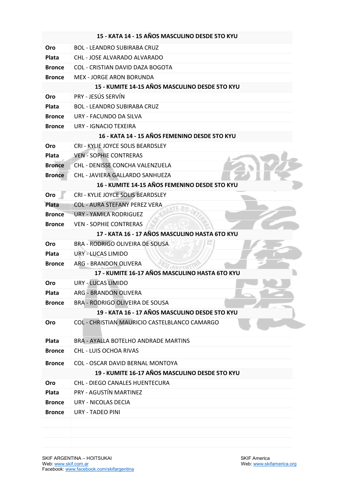|               | 15 - KATA 14 - 15 AÑOS MASCULINO DESDE 5TO KYU |
|---------------|------------------------------------------------|
| Oro           | <b>BOL - LEANDRO SUBIRABA CRUZ</b>             |
| <b>Plata</b>  | CHL - JOSE ALVARADO ALVARADO                   |
| <b>Bronce</b> | COL - CRISTIAN DAVID DAZA BOGOTA               |
| <b>Bronce</b> | <b>MEX - JORGE ARON BORUNDA</b>                |
|               | 15 - KUMITE 14-15 AÑOS MASCULINO DESDE 5TO KYU |
| Oro           | PRY - JESÚS SERVÍN                             |
| <b>Plata</b>  | <b>BOL - LEANDRO SUBIRABA CRUZ</b>             |
| <b>Bronce</b> | URY - FACUNDO DA SILVA                         |
| <b>Bronce</b> | URY - IGNACIO TEXEIRA                          |
|               | 16 - KATA 14 - 15 AÑOS FEMENINO DESDE 5TO KYU  |
| Oro           | CRI - KYLIE JOYCE SOLIS BEARDSLEY              |
| Plata         | <b>VEN - SOPHIE CONTRERAS</b>                  |
| <b>Bronce</b> | <b>CHL - DENISSE CONCHA VALENZUELA</b>         |
| <b>Bronce</b> | CHL - JAVIERA GALLARDO SANHUEZA                |
|               | 16 - KUMITE 14-15 AÑOS FEMENINO DESDE 5TO KYU  |
| Oro           | CRI - KYLIE JOYCE SOLIS BEARDSLEY              |
| <b>Plata</b>  | <b>COL - AURA STEFANY PEREZ VERA</b>           |
| <b>Bronce</b> | <b>URY - YAMILA RODRIGUEZ</b>                  |
| <b>Bronce</b> | <b>VEN - SOPHIE CONTRERAS</b>                  |
|               | 17 - KATA 16 - 17 AÑOS MASCULINO HASTA 6TO KYU |
| Oro           | BRA - RODRIGO OLIVEIRA DE SOUSA                |
| Plata         | URY - LUCAS LIMIDO                             |
| <b>Bronce</b> | ARG - BRANDON OLIVERA                          |
|               | 17 - KUMITE 16-17 AÑOS MASCULINO HASTA 6TO KYU |
| Oro           | <b>URY - LUCAS LIMIDO</b>                      |
| Plata         | <b>ARG - BRANDON OLIVERA</b>                   |
| <b>Bronce</b> | <b>BRA - RODRIGO OLIVEIRA DE SOUSA</b>         |
|               | 19 - KATA 16 - 17 AÑOS MASCULINO DESDE 5TO KYU |
| Oro           | COL - CHRISTIAN MAURICIO CASTELBLANCO CAMARGO  |
|               |                                                |
| Plata         | <b>BRA - AYALLA BOTELHO ANDRADE MARTINS</b>    |
| <b>Bronce</b> | <b>CHL - LUIS OCHOA RIVAS</b>                  |
| <b>Bronce</b> | COL - OSCAR DAVID BERNAL MONTOYA               |
|               | 19 - KUMITE 16-17 AÑOS MASCULINO DESDE 5TO KYU |
| Oro           | CHL - DIEGO CANALES HUENTECURA                 |
| Plata         | PRY - AGUSTÍN MARTINEZ                         |
| <b>Bronce</b> | URY - NICOLAS DECIA                            |
| <b>Bronce</b> | URY - TADEO PINI                               |
|               |                                                |
|               |                                                |
|               |                                                |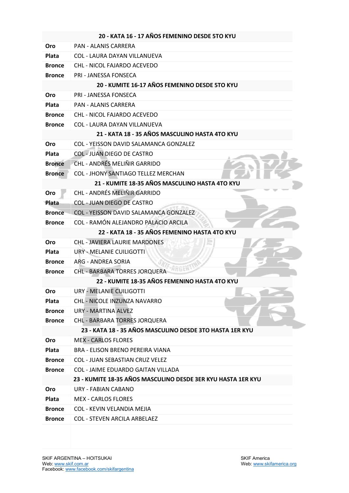|               | 20 - KATA 16 - 17 AÑOS FEMENINO DESDE 5TO KYU                |
|---------------|--------------------------------------------------------------|
| Oro           | <b>PAN - ALANIS CARRERA</b>                                  |
| Plata         | COL - LAURA DAYAN VILLANUEVA                                 |
| <b>Bronce</b> | CHL - NICOL FAJARDO ACEVEDO                                  |
| <b>Bronce</b> | <b>PRI - JANESSA FONSECA</b>                                 |
|               | 20 - KUMITE 16-17 AÑOS FEMENINO DESDE 5TO KYU                |
| <b>Oro</b>    | PRI - JANESSA FONSECA                                        |
| <b>Plata</b>  | <b>PAN - ALANIS CARRERA</b>                                  |
| <b>Bronce</b> | CHL - NICOL FAJARDO ACEVEDO                                  |
| <b>Bronce</b> | <b>COL - LAURA DAYAN VILLANUEVA</b>                          |
|               | 21 - KATA 18 - 35 AÑOS MASCULINO HASTA 4TO KYU               |
| <b>Oro</b>    | COL - YEISSON DAVID SALAMANCA GONZALEZ                       |
| <b>Plata</b>  | <b>COL - JUAN DIEGO DE CASTRO</b>                            |
| <b>Bronce</b> | CHL - ANDRÉS MELIÑIR GARRIDO                                 |
| <b>Bronce</b> | <b>COL - JHONY SANTIAGO TELLEZ MERCHAN</b>                   |
|               | 21 - KUMITE 18-35 AÑOS MASCULINO HASTA 4TO KYU               |
| Oro           | CHL - ANDRÉS MELIÑIR GARRIDO                                 |
| Plata         | <b>COL - JUAN DIEGO DE CASTRO</b>                            |
| <b>Bronce</b> | <b>COL - YEISSON DAVID SALAMANCA GONZALEZ</b>                |
| <b>Bronce</b> | COL - RAMÓN ALEJANDRO PALACIO ARCILA                         |
|               | 22 - KATA 18 - 35 AÑOS FEMENINO HASTA 4TO KYU                |
| Oro           | <b>CHL - JAVIERA LAURIE MARDONES</b>                         |
| Plata         | URY - MELANIE CUILIGOTTI                                     |
| <b>Bronce</b> | ARG - ANDRFA SORIA                                           |
| <b>Bronce</b> | <b>CHL - BARBARA TORRES JORQUERA</b>                         |
|               | 22 - KUMITE 18-35 AÑOS FEMENINO HASTA 4TO KYU                |
| Oro           | URY - MELANIE CUILIGOTTI                                     |
| <b>Plata</b>  | <b>CHL - NICOLE INZUNZA NAVARRO</b>                          |
| <b>Bronce</b> | <b>URY - MARTINA ALVEZ</b>                                   |
| <b>Bronce</b> | CHL - BARBARA TORRES JORQUERA                                |
|               | 23 - KATA 18 - 35 AÑOS MASCULINO DESDE 3TO HASTA 1ER KYU     |
| Oro           | <b>MEX - CARLOS FLORES</b>                                   |
| Plata         | BRA - ELISON BRENO PEREIRA VIANA                             |
| <b>Bronce</b> | <b>COL - JUAN SEBASTIAN CRUZ VELEZ</b>                       |
| <b>Bronce</b> | <b>COL - JAIME EDUARDO GAITAN VILLADA</b>                    |
|               | 23 - KUMITE 18-35 AÑOS MASCULINO DESDE 3ER KYU HASTA 1ER KYU |
| Oro           | <b>URY - FABIAN CABANO</b>                                   |
| Plata         | <b>MEX - CARLOS FLORES</b>                                   |
| <b>Bronce</b> | COL - KEVIN VELANDIA MEJIA                                   |
| <b>Bronce</b> | <b>COL - STEVEN ARCILA ARBELAEZ</b>                          |
|               |                                                              |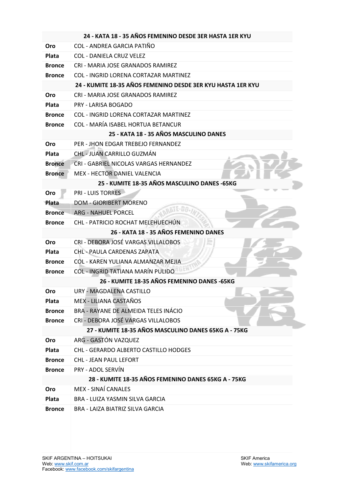|               | 24 - KATA 18 - 35 AÑOS FEMENINO DESDE 3ER HASTA 1ER KYU     |
|---------------|-------------------------------------------------------------|
| Oro           | COL - ANDREA GARCIA PATIÑO                                  |
| Plata         | <b>COL - DANIELA CRUZ VELEZ</b>                             |
| <b>Bronce</b> | CRI - MARIA JOSE GRANADOS RAMIREZ                           |
| <b>Bronce</b> | <b>COL - INGRID LORENA CORTAZAR MARTINEZ</b>                |
|               | 24 - KUMITE 18-35 AÑOS FEMENINO DESDE 3ER KYU HASTA 1ER KYU |
| Oro           | CRI - MARIA JOSE GRANADOS RAMIREZ                           |
| Plata         | <b>PRY - LARISA BOGADO</b>                                  |
| <b>Bronce</b> | <b>COL - INGRID LORENA CORTAZAR MARTINEZ</b>                |
| <b>Bronce</b> | <b>COL - MARÍA ISABEL HORTUA BETANCUR</b>                   |
|               | 25 - KATA 18 - 35 AÑOS MASCULINO DANES                      |
| Oro           | PER - JHON EDGAR TREBEJO FERNANDEZ                          |
| Plata         | CHL - JUAN CARRILLO GUZMÁN                                  |
| <b>Bronce</b> | CRI - GABRIEL NICOLAS VARGAS HERNANDEZ                      |
| <b>Bronce</b> | MEX - HECTOR DANIEL VALENCIA                                |
|               | 25 - KUMITE 18-35 AÑOS MASCULINO DANES -65KG                |
| Oro           | <b>PRI - LUIS TORRES</b>                                    |
| Plata         | <b>DOM - GIORIBERT MORENO</b>                               |
| <b>Bronce</b> | <b>ARG - NAHUEL PORCEL</b>                                  |
| <b>Bronce</b> | CHL - PATRICIO ROCHAT MELEHUECHÚN                           |
|               | 26 - KATA 18 - 35 AÑOS FEMENINO DANES                       |
| Oro           | CRI - DEBORA JOSÉ VARGAS VILLALOBOS                         |
| Plata         | <b>CHL - PAULA CARDENAS ZAPATA</b>                          |
| <b>Bronce</b> | COL - KAREN YULIANA ALMANZAR MEJIA                          |
| <b>Bronce</b> | <b>COL - INGRID TATIANA MARÍN PULIDO</b>                    |
|               | 26 - KUMITE 18-35 AÑOS FEMENINO DANES -65KG                 |
| Oro           | URY - MAGDALENA CASTILLO                                    |
| Plata         | MEX - LILIANA CASTAÑOS                                      |
| <b>Bronce</b> | BRA - RAYANE DE ALMEIDA TELES INÁCIO                        |
| <b>Bronce</b> | CRI - DEBORA JOSÉ VARGAS VILLALOBOS                         |
|               | 27 - KUMITE 18-35 AÑOS MASCULINO DANES 65KG A - 75KG        |
| Oro           | ARG - GASTÓN VAZQUEZ                                        |
| Plata         | CHL - GERARDO ALBERTO CASTILLO HODGES                       |
| <b>Bronce</b> | CHL - JEAN PAUL LEFORT                                      |
| <b>Bronce</b> | PRY - ADOL SERVÍN                                           |
|               | 28 - KUMITE 18-35 AÑOS FEMENINO DANES 65KG A - 75KG         |
| Oro           | <b>MEX - SINAÍ CANALES</b>                                  |
| Plata         | <b>BRA - LUIZA YASMIN SILVA GARCIA</b>                      |
| <b>Bronce</b> | BRA - LAIZA BIATRIZ SILVA GARCIA                            |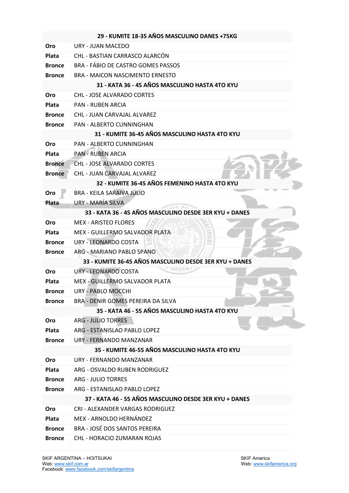|               | 29 - KUMITE 18-35 AÑOS MASCULINO DANES +75KG           |
|---------------|--------------------------------------------------------|
| Oro           | URY - JUAN MACEDO                                      |
| Plata         | CHL - BASTIAN CARRASCO ALARCÓN                         |
| <b>Bronce</b> | <b>BRA - FÁBIO DE CASTRO GOMES PASSOS</b>              |
| <b>Bronce</b> | <b>BRA - MAICON NASCIMENTO ERNESTO</b>                 |
|               | 31 - KATA 36 - 45 AÑOS MASCULINO HASTA 4TO KYU         |
| Oro           | <b>CHL - JOSE ALVARADO CORTES</b>                      |
| Plata         | <b>PAN - RUBEN ARCIA</b>                               |
| <b>Bronce</b> | <b>CHL - JUAN CARVAJAL ALVAREZ</b>                     |
| <b>Bronce</b> | PAN - ALBERTO CUNNINGHAN                               |
|               | 31 - KUMITE 36-45 AÑOS MASCULINO HASTA 4TO KYU         |
| Oro           | PAN - ALBERTO CUNNINGHAN                               |
| <b>Plata</b>  | <b>PAN - RUBEN ARCIA</b>                               |
| <b>Bronce</b> | <b>CHL - JOSE ALVARADO CORTES</b>                      |
| <b>Bronce</b> | CHL - JUAN CARVAJAL ALVAREZ                            |
|               | 32 - KUMITE 36-45 AÑOS FEMENINO HASTA 4TO KYU          |
| Oro           | BRA - KEILA SARAIVA JÚLIO                              |
| Plata         | URY - MARÍA SILVA                                      |
|               | 33 - KATA 36 - 45 AÑOS MASCULINO DESDE 3ER KYU + DANES |
| Oro           | <b>MEX - ARISTEO FLORES</b>                            |
| Plata         | MEX - GUILLERMO SALVADOR PLATA                         |
| <b>Bronce</b> | <b>URY - LEONARDO COSTA</b>                            |
| <b>Bronce</b> | ARG - MARIANO PABLO SPANO                              |
|               | 33 - KUMITE 36-45 AÑOS MASCULINO DESDE 3ER KYU + DANES |
| Oro           | <b>URY - LEONARDO COSTA</b>                            |
| Plata         | MEX - GUILLERMO SALVADOR PLATA                         |
| <b>Bronce</b> | URY - PABLO MOCCHI                                     |
| <b>Bronce</b> | BRA - DENIR GOMES PEREIRA DA SILVA                     |
|               | 35 - KATA 46 - 55 AÑOS MASCULINO HASTA 4TO KYU         |
| <b>Oro</b>    | <b>ARG - JULIO TORRES</b>                              |
| <b>Plata</b>  | ARG - ESTANISLAO PABLO LOPEZ                           |
| <b>Bronce</b> | URY - FERNANDO MANZANAR                                |
|               | 35 - KUMITE 46-55 AÑOS MASCULINO HASTA 4TO KYU         |
| Oro           | URY - FFRNANDO MANZANAR                                |
| <b>Plata</b>  | ARG - OSVALDO RUBEN RODRIGUEZ                          |
| <b>Bronce</b> | <b>ARG - JULIO TORRES</b>                              |
| <b>Bronce</b> | ARG - ESTANISLAO PABLO LOPEZ                           |
|               | 37 - KATA 46 - 55 AÑOS MASCULINO DESDE 3ER KYU + DANES |
| Oro           | CRI - ALEXANDER VARGAS RODRIGUEZ                       |
| <b>Plata</b>  | MEX - ARNOLDO HERNÁNDEZ                                |
| <b>Bronce</b> | <b>BRA - JOSÉ DOS SANTOS PEREIRA</b>                   |
| <b>Bronce</b> | <b>CHL - HORACIO ZUMARAN ROJAS</b>                     |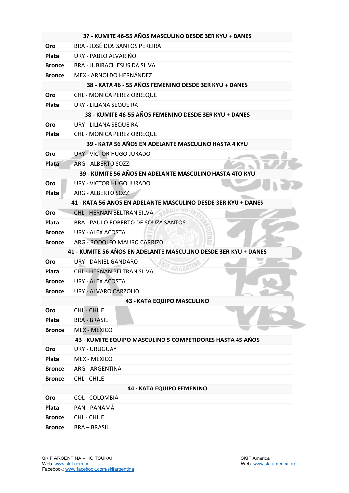|                                                                 | 37 - KUMITE 46-55 AÑOS MASCULINO DESDE 3ER KYU + DANES        |  |  |
|-----------------------------------------------------------------|---------------------------------------------------------------|--|--|
| Oro                                                             | BRA - JOSÉ DOS SANTOS PEREIRA                                 |  |  |
| Plata                                                           | URY - PABLO ALVARIÑO                                          |  |  |
| <b>Bronce</b>                                                   | <b>BRA - JUBIRACI JESUS DA SILVA</b>                          |  |  |
| <b>Bronce</b>                                                   | MEX - ARNOLDO HERNÁNDEZ                                       |  |  |
|                                                                 | 38 - KATA 46 - 55 AÑOS FEMENINO DESDE 3ER KYU + DANES         |  |  |
| <b>Oro</b>                                                      | <b>CHL - MONICA PEREZ OBREQUE</b>                             |  |  |
| Plata                                                           | URY - LILIANA SEQUEIRA                                        |  |  |
|                                                                 | 38 - KUMITE 46-55 AÑOS FEMENINO DESDE 3ER KYU + DANES         |  |  |
| Oro                                                             | URY - LILIANA SEQUEIRA                                        |  |  |
| Plata                                                           | <b>CHL - MONICA PEREZ OBREQUE</b>                             |  |  |
|                                                                 | 39 - KATA 56 AÑOS EN ADELANTE MASCULINO HASTA 4 KYU           |  |  |
| Oro                                                             | URY - VICTOR HUGO JURADO                                      |  |  |
| Plata                                                           | <b>ARG - ALBERTO SOZZI</b>                                    |  |  |
|                                                                 | 39 - KUMITE 56 AÑOS EN ADELANTE MASCULINO HASTA 4TO KYU       |  |  |
| Oro                                                             | URY - VICTOR HUGO JURADO                                      |  |  |
| Plata                                                           | <b>ARG - ALBERTO SOZZI</b>                                    |  |  |
|                                                                 | 41 - KATA 56 AÑOS EN ADELANTE MASCULINO DESDE 3ER KYU + DANES |  |  |
| Oro                                                             | CHL - HERNAN BELTRAN SILVA                                    |  |  |
| Plata                                                           | BRA - PAULO ROBERTO DE SOUZA SANTOS                           |  |  |
| <b>Bronce</b>                                                   | <b>URY - ALEX ACOSTA</b>                                      |  |  |
| <b>Bronce</b>                                                   | ARG - RODOLFO MAURO CARRIZO                                   |  |  |
| 41 - KUMITE 56 AÑOS EN ADELANTE MASCULINO DESDE 3ER KYU + DANES |                                                               |  |  |
| Oro                                                             | URY - DANIEL GANDARO                                          |  |  |
| <b>Plata</b>                                                    | <b>CHL - HERNAN BELTRAN SILVA</b>                             |  |  |
| <b>Bronce</b>                                                   | <b>URY - ALEX ACOSTA</b>                                      |  |  |
| <b>Bronce</b>                                                   | URY - ALVARO CARZOLIO                                         |  |  |
|                                                                 | 43 - KATA EQUIPO MASCULINO                                    |  |  |
| Oro                                                             | CHL - CHILE                                                   |  |  |
| Plata                                                           | <b>BRA - BRASIL</b>                                           |  |  |
| <b>Bronce</b>                                                   | <b>MEX - MEXICO</b>                                           |  |  |
|                                                                 | 43 - KUMITE EQUIPO MASCULINO 5 COMPETIDORES HASTA 45 AÑOS     |  |  |
| <b>Oro</b>                                                      | <b>URY - URUGUAY</b>                                          |  |  |
| Plata                                                           | <b>MEX - MEXICO</b>                                           |  |  |
| <b>Bronce</b>                                                   | ARG - ARGENTINA                                               |  |  |
| <b>Bronce</b>                                                   | <b>CHL - CHILE</b>                                            |  |  |
|                                                                 | 44 - KATA EQUIPO FEMENINO                                     |  |  |
| Oro                                                             | <b>COL - COLOMBIA</b>                                         |  |  |
| Plata                                                           | PAN - PANAMÁ                                                  |  |  |
| <b>Bronce</b>                                                   | <b>CHL - CHILE</b>                                            |  |  |
| <b>Bronce</b>                                                   | <b>BRA-BRASIL</b>                                             |  |  |